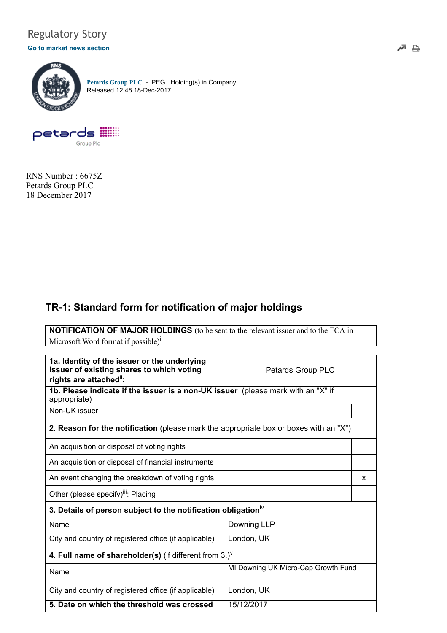## Regulatory Story

#### [Go to market news section](javascript: sendto() $\blacksquare$



[Petards Group PLC](http://www.londonstockexchange.com/exchange/prices-and-markets/stocks/summary/company-summary-via-tidm.html?tidm=PEG) - PEG Holding(s) in Company Released 12:48 18-Dec-2017



RNS Number : 6675Z Petards Group PLC 18 December 2017

## TR-1: Standard form for notification of major holdings

NOTIFICATION OF MAJOR HOLDINGS (to be sent to the relevant issuer and to the FCA in Microsoft Word format if possible)<sup>i</sup>

| 1a. Identity of the issuer or the underlying<br>issuer of existing shares to which voting<br>rights are attached": | Petards Group PLC                   |   |
|--------------------------------------------------------------------------------------------------------------------|-------------------------------------|---|
| 1b. Please indicate if the issuer is a non-UK issuer (please mark with an "X" if<br>appropriate)                   |                                     |   |
| Non-UK issuer                                                                                                      |                                     |   |
| 2. Reason for the notification (please mark the appropriate box or boxes with an "X")                              |                                     |   |
| An acquisition or disposal of voting rights                                                                        |                                     |   |
| An acquisition or disposal of financial instruments                                                                |                                     |   |
| An event changing the breakdown of voting rights                                                                   |                                     | x |
| Other (please specify) <sup>iii</sup> : Placing                                                                    |                                     |   |
| 3. Details of person subject to the notification obligation <sup>iv</sup>                                          |                                     |   |
| Name                                                                                                               | Downing LLP                         |   |
| City and country of registered office (if applicable)                                                              | London, UK                          |   |
| 4. Full name of shareholder(s) (if different from $3.$ ) <sup><math>\vee</math></sup>                              |                                     |   |
| Name                                                                                                               | MI Downing UK Micro-Cap Growth Fund |   |
| City and country of registered office (if applicable)                                                              | London, UK                          |   |
| 5. Date on which the threshold was crossed                                                                         | 15/12/2017                          |   |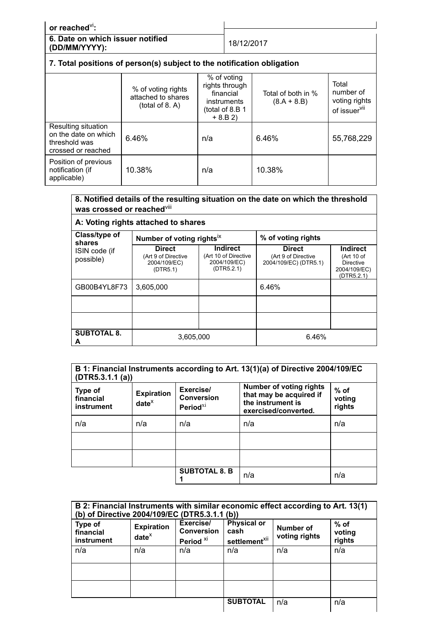## or reached<sup>vi</sup>: 6. Date on which issuer notified (DD/MM/YYYY): 18/12/2017 7. Total positions of person(s) subject to the notification obligation

|                                                                                    | % of voting rights<br>attached to shares<br>(total of 8. A) | % of voting<br>rights through<br>financial<br><i>instruments</i><br>(total of 8.B 1<br>$+ 8. B 2)$ | Total of both in %<br>$(8.A + 8.B)$ | Total<br>number of<br>voting rights<br>of issuer <sup>vii</sup> |
|------------------------------------------------------------------------------------|-------------------------------------------------------------|----------------------------------------------------------------------------------------------------|-------------------------------------|-----------------------------------------------------------------|
| Resulting situation<br>on the date on which<br>threshold was<br>crossed or reached | 6.46%                                                       | n/a                                                                                                | 6.46%                               | 55,768,229                                                      |
| Position of previous<br>notification (if<br>applicable)                            | 10.38%                                                      | n/a                                                                                                | 10.38%                              |                                                                 |

### 8. Notified details of the resulting situation on the date on which the threshold was crossed or reached $^{\mathsf{viii}}$

# A: Voting rights attached to shares

| Class/type of<br>shares    | Number of voting rights <sup>ix</sup>                            |                                                                       | % of voting rights                                            |                                                                                 |
|----------------------------|------------------------------------------------------------------|-----------------------------------------------------------------------|---------------------------------------------------------------|---------------------------------------------------------------------------------|
| ISIN code (if<br>possible) | <b>Direct</b><br>(Art 9 of Directive<br>2004/109/EC)<br>(DTR5.1) | <b>Indirect</b><br>(Art 10 of Directive<br>2004/109/EC)<br>(DTR5.2.1) | <b>Direct</b><br>(Art 9 of Directive<br>2004/109/EC) (DTR5.1) | <b>Indirect</b><br>(Art 10 of<br><b>Directive</b><br>2004/109/EC)<br>(DTR5.2.1) |
| GB00B4YL8F73               | 3,605,000                                                        |                                                                       | 6.46%                                                         |                                                                                 |
|                            |                                                                  |                                                                       |                                                               |                                                                                 |
|                            |                                                                  |                                                                       |                                                               |                                                                                 |
| <b>SUBTOTAL 8.</b><br>A    | 3,605,000                                                        |                                                                       | 6.46%                                                         |                                                                                 |

| B 1: Financial Instruments according to Art. 13(1)(a) of Directive 2004/109/EC<br>(DTR5.3.1.1 (a)) |                               |                                                  |                                                                                                        |                            |
|----------------------------------------------------------------------------------------------------|-------------------------------|--------------------------------------------------|--------------------------------------------------------------------------------------------------------|----------------------------|
| Type of<br>financial<br>instrument                                                                 | <b>Expiration</b><br>$date^x$ | Exercise/<br><b>Conversion</b><br>Period $^{xi}$ | <b>Number of voting rights</b><br>that may be acquired if<br>the instrument is<br>exercised/converted. | $%$ of<br>voting<br>rights |
| n/a                                                                                                | n/a                           | n/a                                              | n/a                                                                                                    | n/a                        |
|                                                                                                    |                               |                                                  |                                                                                                        |                            |
|                                                                                                    |                               |                                                  |                                                                                                        |                            |
|                                                                                                    |                               | <b>SUBTOTAL 8. B</b>                             | n/a                                                                                                    | n/a                        |

| B 2: Financial Instruments with similar economic effect according to Art. 13(1)<br>(b) of Directive 2004/109/EC (DTR5.3.1.1 (b)) |                               |                                                        |                                                         |                            |                            |
|----------------------------------------------------------------------------------------------------------------------------------|-------------------------------|--------------------------------------------------------|---------------------------------------------------------|----------------------------|----------------------------|
| Type of<br>financial<br>instrument                                                                                               | <b>Expiration</b><br>$date^x$ | Exercise/<br><b>Conversion</b><br>Period <sup>xi</sup> | <b>Physical or</b><br>cash<br>settlement <sup>xii</sup> | Number of<br>voting rights | $%$ of<br>voting<br>rights |
| n/a                                                                                                                              | n/a                           | n/a                                                    | n/a                                                     | n/a                        | n/a                        |
|                                                                                                                                  |                               |                                                        |                                                         |                            |                            |
|                                                                                                                                  |                               |                                                        |                                                         |                            |                            |
|                                                                                                                                  |                               |                                                        | <b>SUBTOTAL</b>                                         | n/a                        | n/a                        |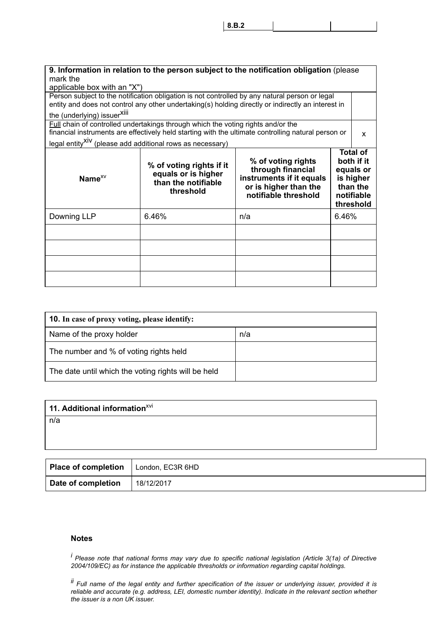8.B.2

| mark the<br>applicable box with an "X")                               |                                                                                         | 9. Information in relation to the person subject to the notification obligation (please                              |       |                                                                                                |
|-----------------------------------------------------------------------|-----------------------------------------------------------------------------------------|----------------------------------------------------------------------------------------------------------------------|-------|------------------------------------------------------------------------------------------------|
|                                                                       |                                                                                         | Person subject to the notification obligation is not controlled by any natural person or legal                       |       |                                                                                                |
|                                                                       |                                                                                         | entity and does not control any other undertaking(s) holding directly or indirectly an interest in                   |       |                                                                                                |
| the (underlying) issuer <sup>Xiii</sup>                               |                                                                                         |                                                                                                                      |       |                                                                                                |
|                                                                       | <b>Full chain of controlled undertakings through which the voting rights and/or the</b> | financial instruments are effectively held starting with the ultimate controlling natural person or                  |       |                                                                                                |
|                                                                       |                                                                                         |                                                                                                                      |       | x                                                                                              |
| legal entity <sup>XIV</sup> (please add additional rows as necessary) |                                                                                         |                                                                                                                      |       |                                                                                                |
| Name $^{x}V$                                                          | % of voting rights if it<br>equals or is higher<br>than the notifiable<br>threshold     | % of voting rights<br>through financial<br>instruments if it equals<br>or is higher than the<br>notifiable threshold |       | <b>Total of</b><br>both if it<br>equals or<br>is higher<br>than the<br>notifiable<br>threshold |
| Downing LLP                                                           | 6.46%                                                                                   | n/a                                                                                                                  | 6.46% |                                                                                                |
|                                                                       |                                                                                         |                                                                                                                      |       |                                                                                                |
|                                                                       |                                                                                         |                                                                                                                      |       |                                                                                                |
|                                                                       |                                                                                         |                                                                                                                      |       |                                                                                                |
|                                                                       |                                                                                         |                                                                                                                      |       |                                                                                                |

| <b>10.</b> In case of proxy voting, please identify: |     |  |
|------------------------------------------------------|-----|--|
| Name of the proxy holder                             | n/a |  |
| The number and % of voting rights held               |     |  |
| The date until which the voting rights will be held  |     |  |

| 11. Additional information <sup>xvi</sup> |
|-------------------------------------------|
| n/a                                       |
|                                           |
|                                           |

| Place of completion   London, EC3R 6HD |            |
|----------------------------------------|------------|
| Date of completion                     | 18/12/2017 |

#### Notes

<sup>i</sup> Please note that national forms may vary due to specific national legislation (Article 3(1a) of Directive 2004/109/EC) as for instance the applicable thresholds or information regarding capital holdings.

ii Full name of the legal entity and further specification of the issuer or underlying issuer, provided it is reliable and accurate (e.g. address, LEI, domestic number identity). Indicate in the relevant section whether the issuer is a non UK issuer.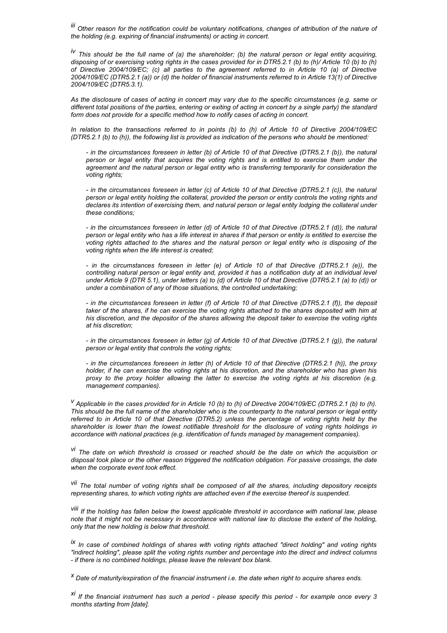iii Other reason for the notification could be voluntary notifications, changes of attribution of the nature of the holding (e.g. expiring of financial instruments) or acting in concert.

 $i<sup>V</sup>$  This should be the full name of (a) the shareholder; (b) the natural person or legal entity acquiring, disposing of or exercising voting rights in the cases provided for in DTR5.2.1 (b) to (h)/ Article 10 (b) to (h) of Directive 2004/109/EC; (c) all parties to the agreement referred to in Article 10 (a) of Directive 2004/109/EC (DTR5.2.1 (a)) or (d) the holder of financial instruments referred to in Article 13(1) of Directive 2004/109/EC (DTR5.3.1).

As the disclosure of cases of acting in concert may vary due to the specific circumstances (e.g. same or different total positions of the parties, entering or exiting of acting in concert by a single party) the standard form does not provide for a specific method how to notify cases of acting in concert.

In relation to the transactions referred to in points (b) to (h) of Article 10 of Directive 2004/109/EC (DTR5.2.1 (b) to (h)), the following list is provided as indication of the persons who should be mentioned:

- in the circumstances foreseen in letter (b) of Article 10 of that Directive (DTR5.2.1 (b)), the natural person or legal entity that acquires the voting rights and is entitled to exercise them under the agreement and the natural person or legal entity who is transferring temporarily for consideration the voting rights:

- in the circumstances foreseen in letter (c) of Article 10 of that Directive (DTR5.2.1 (c)), the natural person or legal entity holding the collateral, provided the person or entity controls the voting rights and declares its intention of exercising them, and natural person or legal entity lodging the collateral under these conditions;

- in the circumstances foreseen in letter (d) of Article 10 of that Directive (DTR5.2.1 (d)), the natural person or legal entity who has a life interest in shares if that person or entity is entitled to exercise the voting rights attached to the shares and the natural person or legal entity who is disposing of the voting rights when the life interest is created;

- in the circumstances foreseen in letter (e) of Article 10 of that Directive (DTR5.2.1 (e)), the controlling natural person or legal entity and, provided it has a notification duty at an individual level under Article 9 (DTR 5.1), under letters (a) to (d) of Article 10 of that Directive (DTR5.2.1 (a) to (d)) or under a combination of any of those situations, the controlled undertaking;

- in the circumstances foreseen in letter (f) of Article 10 of that Directive (DTR5.2.1 (f)), the deposit taker of the shares, if he can exercise the voting rights attached to the shares deposited with him at his discretion, and the depositor of the shares allowing the deposit taker to exercise the voting rights at his discretion;

- in the circumstances foreseen in letter (g) of Article 10 of that Directive (DTR5.2.1 (g)), the natural person or legal entity that controls the voting rights;

- in the circumstances foreseen in letter (h) of Article 10 of that Directive (DTR5.2.1 (h)), the proxy holder, if he can exercise the voting rights at his discretion, and the shareholder who has given his proxy to the proxy holder allowing the latter to exercise the voting rights at his discretion (e.g. management companies).

 $^{V}$  Applicable in the cases provided for in Article 10 (b) to (h) of Directive 2004/109/EC (DTR5.2.1 (b) to (h). This should be the full name of the shareholder who is the counterparty to the natural person or legal entity referred to in Article 10 of that Directive (DTR5.2) unless the percentage of voting rights held by the shareholder is lower than the lowest notifiable threshold for the disclosure of voting rights holdings in accordance with national practices (e.g. identification of funds managed by management companies).

<sup>vi</sup> The date on which threshold is crossed or reached should be the date on which the acquisition or disposal took place or the other reason triggered the notification obligation. For passive crossings, the date when the corporate event took effect.

<sup>vii</sup> The total number of voting rights shall be composed of all the shares, including depository receipts representing shares, to which voting rights are attached even if the exercise thereof is suspended.

viii If the holding has fallen below the lowest applicable threshold in accordance with national law, please note that it might not be necessary in accordance with national law to disclose the extent of the holding, only that the new holding is below that threshold.

ix In case of combined holdings of shares with voting rights attached "direct holding" and voting rights "indirect holding", please split the voting rights number and percentage into the direct and indirect columns - if there is no combined holdings, please leave the relevant box blank.

<sup>x</sup> Date of maturity/expiration of the financial instrument i.e. the date when right to acquire shares ends.

 $x_i$  If the financial instrument has such a period - please specify this period - for example once every 3 months starting from [date].